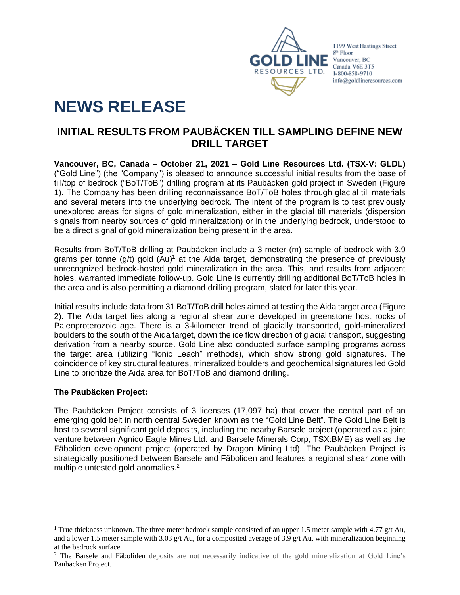

1199 West Hastings Street 8<sup>th</sup> Floor Vancouver, BC Canada V6E 3T5 1-800-858-9710 info@goldlineresources.com

# **NEWS RELEASE**

# **INITIAL RESULTS FROM PAUBÄCKEN TILL SAMPLING DEFINE NEW DRILL TARGET**

**Vancouver, BC, Canada – October 21, 2021 – Gold Line Resources Ltd. (TSX-V: GLDL)** ("Gold Line") (the "Company") is pleased to announce successful initial results from the base of till/top of bedrock ("BoT/ToB") drilling program at its Paubäcken gold project in Sweden (Figure 1). The Company has been drilling reconnaissance BoT/ToB holes through glacial till materials and several meters into the underlying bedrock. The intent of the program is to test previously unexplored areas for signs of gold mineralization, either in the glacial till materials (dispersion signals from nearby sources of gold mineralization) or in the underlying bedrock, understood to be a direct signal of gold mineralization being present in the area.

Results from BoT/ToB drilling at Paubäcken include a 3 meter (m) sample of bedrock with 3.9 grams per tonne (g/t) gold (Au)<sup>1</sup> at the Aida target, demonstrating the presence of previously unrecognized bedrock-hosted gold mineralization in the area. This, and results from adjacent holes, warranted immediate follow-up. Gold Line is currently drilling additional BoT/ToB holes in the area and is also permitting a diamond drilling program, slated for later this year.

Initial results include data from 31 BoT/ToB drill holes aimed at testing the Aida target area (Figure 2). The Aida target lies along a regional shear zone developed in greenstone host rocks of Paleoproterozoic age. There is a 3-kilometer trend of glacially transported, gold-mineralized boulders to the south of the Aida target, down the ice flow direction of glacial transport, suggesting derivation from a nearby source. Gold Line also conducted surface sampling programs across the target area (utilizing "Ionic Leach" methods), which show strong gold signatures. The coincidence of key structural features, mineralized boulders and geochemical signatures led Gold Line to prioritize the Aida area for BoT/ToB and diamond drilling.

# **The Paubäcken Project:**

The Paubäcken Project consists of 3 licenses (17,097 ha) that cover the central part of an emerging gold belt in north central Sweden known as the "Gold Line Belt". The Gold Line Belt is host to several significant gold deposits, including the nearby Barsele project (operated as a joint venture between Agnico Eagle Mines Ltd. and Barsele Minerals Corp, TSX:BME) as well as the Fäboliden development project (operated by Dragon Mining Ltd). The Paubäcken Project is strategically positioned between Barsele and Fäboliden and features a regional shear zone with multiple untested gold anomalies.<sup>2</sup>

<sup>&</sup>lt;sup>1</sup> True thickness unknown. The three meter bedrock sample consisted of an upper 1.5 meter sample with 4.77 g/t Au, and a lower 1.5 meter sample with 3.03 g/t Au, for a composited average of 3.9 g/t Au, with mineralization beginning at the bedrock surface.

<sup>2</sup> The Barsele and Fäboliden deposits are not necessarily indicative of the gold mineralization at Gold Line's Paubäcken Project.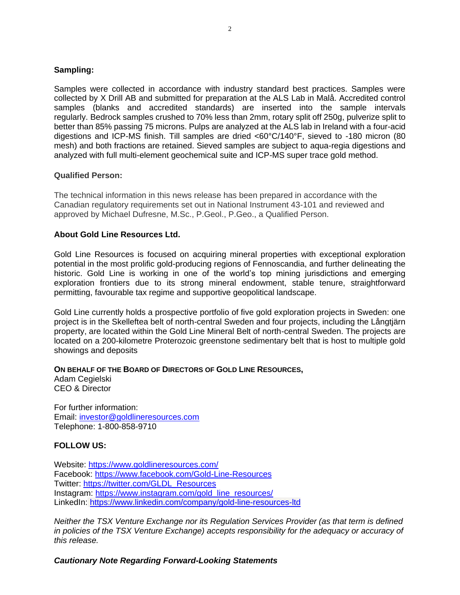#### **Sampling:**

Samples were collected in accordance with industry standard best practices. Samples were collected by X Drill AB and submitted for preparation at the ALS Lab in Malå. Accredited control samples (blanks and accredited standards) are inserted into the sample intervals regularly. Bedrock samples crushed to 70% less than 2mm, rotary split off 250g, pulverize split to better than 85% passing 75 microns. Pulps are analyzed at the ALS lab in Ireland with a four-acid digestions and ICP-MS finish. Till samples are dried <60°C/140°F, sieved to -180 micron (80 mesh) and both fractions are retained. Sieved samples are subject to aqua-regia digestions and analyzed with full multi-element geochemical suite and ICP-MS super trace gold method.

#### **Qualified Person:**

The technical information in this news release has been prepared in accordance with the Canadian regulatory requirements set out in National Instrument 43-101 and reviewed and approved by Michael Dufresne, M.Sc., P.Geol., P.Geo., a Qualified Person.

#### **About Gold Line Resources Ltd.**

Gold Line Resources is focused on acquiring mineral properties with exceptional exploration potential in the most prolific gold-producing regions of Fennoscandia, and further delineating the historic. Gold Line is working in one of the world's top mining jurisdictions and emerging exploration frontiers due to its strong mineral endowment, stable tenure, straightforward permitting, favourable tax regime and supportive geopolitical landscape.

Gold Line currently holds a prospective portfolio of five gold exploration projects in Sweden: one project is in the Skelleftea belt of north-central Sweden and four projects, including the Långtjärn property, are located within the Gold Line Mineral Belt of north-central Sweden. The projects are located on a 200-kilometre Proterozoic greenstone sedimentary belt that is host to multiple gold showings and deposits

#### **ON BEHALF OF THE BOARD OF DIRECTORS OF GOLD LINE RESOURCES,**

Adam Cegielski CEO & Director

For further information: Email: [investor@goldlineresources.com](mailto:investor@goldlineresources.com) Telephone: 1-800-858-9710

## **FOLLOW US:**

Website:<https://www.goldlineresources.com/> Facebook:<https://www.facebook.com/Gold-Line-Resources> Twitter: [https://twitter.com/GLDL\\_Resources](https://twitter.com/GLDL_Resources) Instagram: [https://www.instagram.com/gold\\_line\\_resources/](https://www.instagram.com/gold_line_resources/) LinkedIn: <https://www.linkedin.com/company/gold-line-resources-ltd>

*Neither the TSX Venture Exchange nor its Regulation Services Provider (as that term is defined in policies of the TSX Venture Exchange) accepts responsibility for the adequacy or accuracy of this release.*

## *Cautionary Note Regarding Forward-Looking Statements*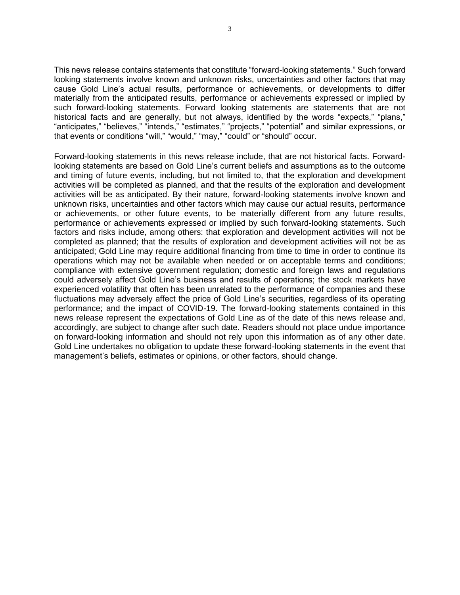This news release contains statements that constitute "forward-looking statements." Such forward looking statements involve known and unknown risks, uncertainties and other factors that may cause Gold Line's actual results, performance or achievements, or developments to differ materially from the anticipated results, performance or achievements expressed or implied by such forward-looking statements. Forward looking statements are statements that are not historical facts and are generally, but not always, identified by the words "expects," "plans," "anticipates," "believes," "intends," "estimates," "projects," "potential" and similar expressions, or that events or conditions "will," "would," "may," "could" or "should" occur.

Forward-looking statements in this news release include, that are not historical facts. Forwardlooking statements are based on Gold Line's current beliefs and assumptions as to the outcome and timing of future events, including, but not limited to, that the exploration and development activities will be completed as planned, and that the results of the exploration and development activities will be as anticipated. By their nature, forward-looking statements involve known and unknown risks, uncertainties and other factors which may cause our actual results, performance or achievements, or other future events, to be materially different from any future results, performance or achievements expressed or implied by such forward-looking statements. Such factors and risks include, among others: that exploration and development activities will not be completed as planned; that the results of exploration and development activities will not be as anticipated; Gold Line may require additional financing from time to time in order to continue its operations which may not be available when needed or on acceptable terms and conditions; compliance with extensive government regulation; domestic and foreign laws and regulations could adversely affect Gold Line's business and results of operations; the stock markets have experienced volatility that often has been unrelated to the performance of companies and these fluctuations may adversely affect the price of Gold Line's securities, regardless of its operating performance; and the impact of COVID-19. The forward-looking statements contained in this news release represent the expectations of Gold Line as of the date of this news release and, accordingly, are subject to change after such date. Readers should not place undue importance on forward-looking information and should not rely upon this information as of any other date. Gold Line undertakes no obligation to update these forward-looking statements in the event that management's beliefs, estimates or opinions, or other factors, should change.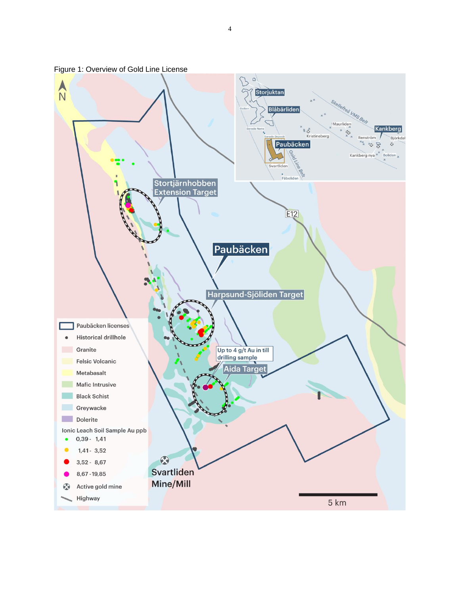

Figure 1: Overview of Gold Line License